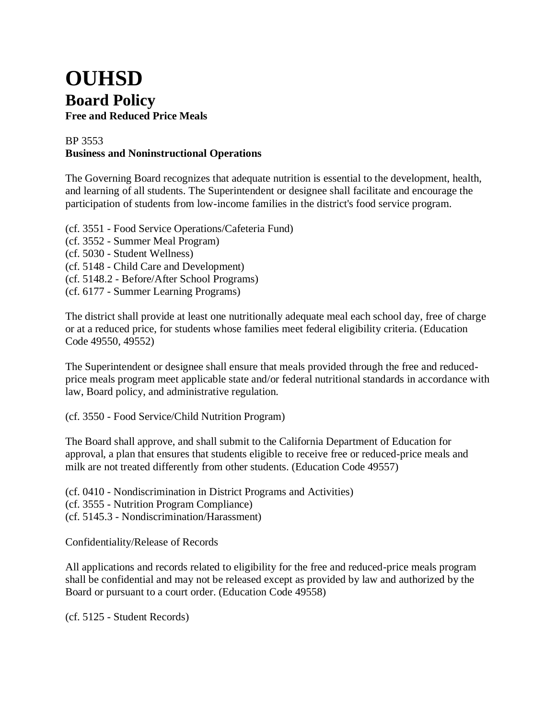## **OUHSD Board Policy Free and Reduced Price Meals**

## BP 3553 **Business and Noninstructional Operations**

The Governing Board recognizes that adequate nutrition is essential to the development, health, and learning of all students. The Superintendent or designee shall facilitate and encourage the participation of students from low-income families in the district's food service program.

- (cf. 3551 Food Service Operations/Cafeteria Fund)
- (cf. 3552 Summer Meal Program)
- (cf. 5030 Student Wellness)
- (cf. 5148 Child Care and Development)
- (cf. 5148.2 Before/After School Programs)
- (cf. 6177 Summer Learning Programs)

The district shall provide at least one nutritionally adequate meal each school day, free of charge or at a reduced price, for students whose families meet federal eligibility criteria. (Education Code 49550, 49552)

The Superintendent or designee shall ensure that meals provided through the free and reducedprice meals program meet applicable state and/or federal nutritional standards in accordance with law, Board policy, and administrative regulation.

(cf. 3550 - Food Service/Child Nutrition Program)

The Board shall approve, and shall submit to the California Department of Education for approval, a plan that ensures that students eligible to receive free or reduced-price meals and milk are not treated differently from other students. (Education Code 49557)

(cf. 0410 - Nondiscrimination in District Programs and Activities)

(cf. 3555 - Nutrition Program Compliance)

(cf. 5145.3 - Nondiscrimination/Harassment)

Confidentiality/Release of Records

All applications and records related to eligibility for the free and reduced-price meals program shall be confidential and may not be released except as provided by law and authorized by the Board or pursuant to a court order. (Education Code 49558)

(cf. 5125 - Student Records)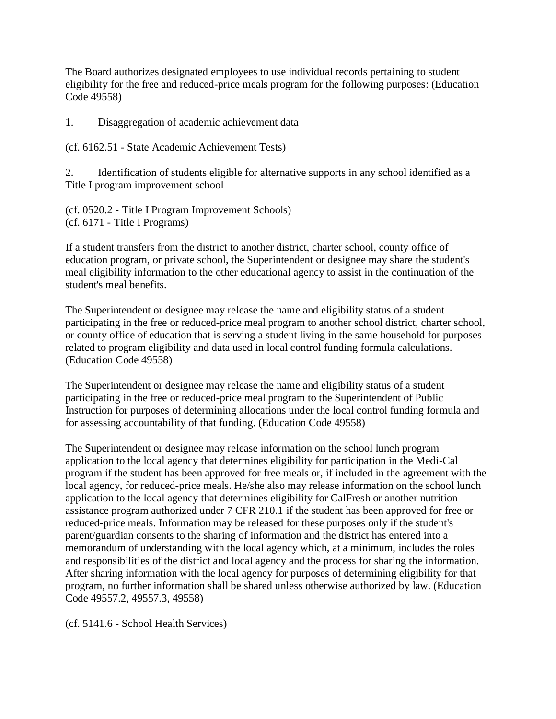The Board authorizes designated employees to use individual records pertaining to student eligibility for the free and reduced-price meals program for the following purposes: (Education Code 49558)

1. Disaggregation of academic achievement data

(cf. 6162.51 - State Academic Achievement Tests)

2. Identification of students eligible for alternative supports in any school identified as a Title I program improvement school

(cf. 0520.2 - Title I Program Improvement Schools) (cf. 6171 - Title I Programs)

If a student transfers from the district to another district, charter school, county office of education program, or private school, the Superintendent or designee may share the student's meal eligibility information to the other educational agency to assist in the continuation of the student's meal benefits.

The Superintendent or designee may release the name and eligibility status of a student participating in the free or reduced-price meal program to another school district, charter school, or county office of education that is serving a student living in the same household for purposes related to program eligibility and data used in local control funding formula calculations. (Education Code 49558)

The Superintendent or designee may release the name and eligibility status of a student participating in the free or reduced-price meal program to the Superintendent of Public Instruction for purposes of determining allocations under the local control funding formula and for assessing accountability of that funding. (Education Code 49558)

The Superintendent or designee may release information on the school lunch program application to the local agency that determines eligibility for participation in the Medi-Cal program if the student has been approved for free meals or, if included in the agreement with the local agency, for reduced-price meals. He/she also may release information on the school lunch application to the local agency that determines eligibility for CalFresh or another nutrition assistance program authorized under 7 CFR 210.1 if the student has been approved for free or reduced-price meals. Information may be released for these purposes only if the student's parent/guardian consents to the sharing of information and the district has entered into a memorandum of understanding with the local agency which, at a minimum, includes the roles and responsibilities of the district and local agency and the process for sharing the information. After sharing information with the local agency for purposes of determining eligibility for that program, no further information shall be shared unless otherwise authorized by law. (Education Code 49557.2, 49557.3, 49558)

(cf. 5141.6 - School Health Services)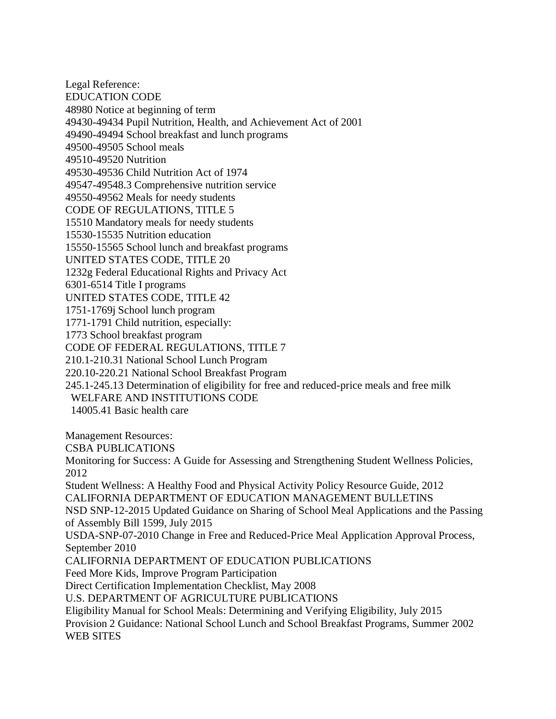Legal Reference: EDUCATION CODE 48980 Notice at beginning of term 49430-49434 Pupil Nutrition, Health, and Achievement Act of 2001 49490-49494 School breakfast and lunch programs 49500-49505 School meals 49510-49520 Nutrition 49530-49536 Child Nutrition Act of 1974 49547-49548.3 Comprehensive nutrition service 49550-49562 Meals for needy students CODE OF REGULATIONS, TITLE 5 15510 Mandatory meals for needy students 15530-15535 Nutrition education 15550-15565 School lunch and breakfast programs UNITED STATES CODE, TITLE 20 1232g Federal Educational Rights and Privacy Act 6301-6514 Title I programs UNITED STATES CODE, TITLE 42 1751-1769j School lunch program 1771-1791 Child nutrition, especially: 1773 School breakfast program CODE OF FEDERAL REGULATIONS, TITLE 7 210.1-210.31 National School Lunch Program 220.10-220.21 National School Breakfast Program 245.1-245.13 Determination of eligibility for free and reduced-price meals and free milk WELFARE AND INSTITUTIONS CODE 14005.41 Basic health care Management Resources: CSBA PUBLICATIONS Monitoring for Success: A Guide for Assessing and Strengthening Student Wellness Policies, 2012 Student Wellness: A Healthy Food and Physical Activity Policy Resource Guide, 2012 CALIFORNIA DEPARTMENT OF EDUCATION MANAGEMENT BULLETINS NSD SNP-12-2015 Updated Guidance on Sharing of School Meal Applications and the Passing of Assembly Bill 1599, July 2015 USDA-SNP-07-2010 Change in Free and Reduced-Price Meal Application Approval Process, September 2010 CALIFORNIA DEPARTMENT OF EDUCATION PUBLICATIONS Feed More Kids, Improve Program Participation Direct Certification Implementation Checklist, May 2008 U.S. DEPARTMENT OF AGRICULTURE PUBLICATIONS Eligibility Manual for School Meals: Determining and Verifying Eligibility, July 2015 Provision 2 Guidance: National School Lunch and School Breakfast Programs, Summer 2002 WEB SITES